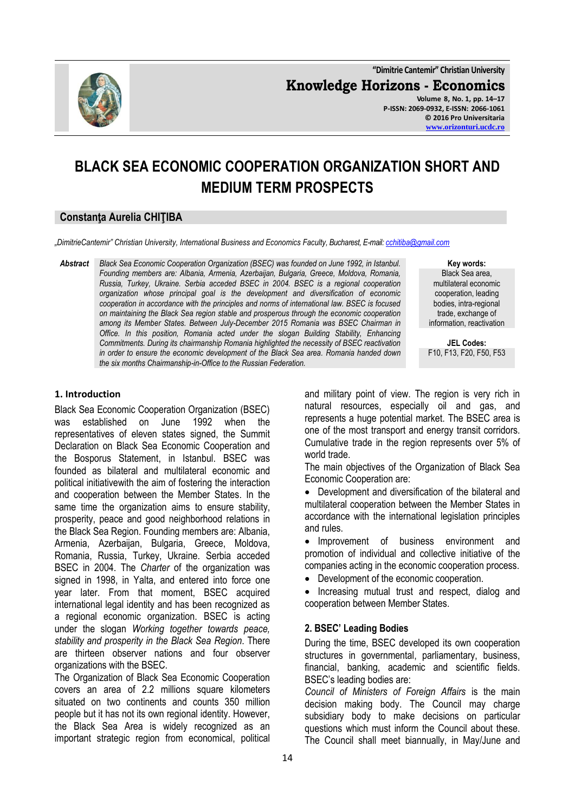

**"Dimitrie Cantemir" Christian University Knowledge Horizons - Economics Volume 8, No. 1, pp. 14–17 P-ISSN: 2069-0932, E-ISSN: 2066-1061 © 2016 Pro Universitaria [www.orizonturi.ucdc.ro](http://www.orizonturi.ucdc.ro/)**

# **BLACK SEA ECONOMIC COOPERATION ORGANIZATION SHORT AND MEDIUM TERM PROSPECTS**

## **Constanţa Aurelia CHIŢIBA**

*"DimitrieCantemir" Christian University, International Business and Economics Faculty, Bucharest, E-mail: [cchitiba@gmail.com](mailto:cchitiba@gmail.com)*

*Abstract Black Sea Economic Cooperation Organization (BSEC) was founded on June 1992, in Istanbul. Founding members are: Albania, Armenia, Azerbaijan, Bulgaria, Greece, Moldova, Romania, Russia, Turkey, Ukraine. Serbia acceded BSEC in 2004. BSEC is a regional cooperation organization whose principal goal is the development and diversification of economic cooperation in accordance with the principles and norms of international law. BSEC is focused on maintaining the Black Sea region stable and prosperous through the economic cooperation among its Member States. Between July-December 2015 Romania was BSEC Chairman in Office. In this position, Romania acted under the slogan Building Stability, Enhancing Commitments. During its chairmanship Romania highlighted the necessity of BSEC reactivation in order to ensure the economic development of the Black Sea area. Romania handed down the six months Chairmanship-in-Office to the Russian Federation.*

**Key words:** Black Sea area, multilateral economic cooperation, leading bodies, intra-regional trade, exchange of information, reactivation

**JEL Codes:** F10, F13, F20, F50, F53

#### **1. Introduction**

Black Sea Economic Cooperation Organization (BSEC) was established on June 1992 when the representatives of eleven states signed, the Summit Declaration on Black Sea Economic Cooperation and the Bosporus Statement, in Istanbul. BSEC was founded as bilateral and multilateral economic and political initiativewith the aim of fostering the interaction and cooperation between the Member States. In the same time the organization aims to ensure stability, prosperity, peace and good neighborhood relations in the Black Sea Region. Founding members are: Albania, Armenia, Azerbaijan, Bulgaria, Greece, Moldova, Romania, Russia, Turkey, Ukraine. Serbia acceded BSEC in 2004. The *Charter* of the organization was signed in 1998, in Yalta, and entered into force one year later. From that moment, BSEC acquired international legal identity and has been recognized as a regional economic organization. BSEC is acting under the slogan *Working together towards peace, stability and prosperity in the Black Sea Region*. There are thirteen observer nations and four observer organizations with the BSEC.

The Organization of Black Sea Economic Cooperation covers an area of 2.2 millions square kilometers situated on two continents and counts 350 million people but it has not its own regional identity. However, the Black Sea Area is widely recognized as an important strategic region from economical, political

and military point of view. The region is very rich in natural resources, especially oil and gas, and represents a huge potential market. The BSEC area is one of the most transport and energy transit corridors. Cumulative trade in the region represents over 5% of world trade.

The main objectives of the Organization of Black Sea Economic Cooperation are:

 Development and diversification of the bilateral and multilateral cooperation between the Member States in accordance with the international legislation principles and rules.

 Improvement of business environment and promotion of individual and collective initiative of the companies acting in the economic cooperation process.

Development of the economic cooperation.

• Increasing mutual trust and respect, dialog and cooperation between Member States.

### **2. BSEC' Leading Bodies**

During the time, BSEC developed its own cooperation structures in governmental, parliamentary, business, financial, banking, academic and scientific fields. BSEC's leading bodies are:

*Council of Ministers of Foreign Affairs* is the main decision making body. The Council may charge subsidiary body to make decisions on particular questions which must inform the Council about these. The Council shall meet biannually, in May/June and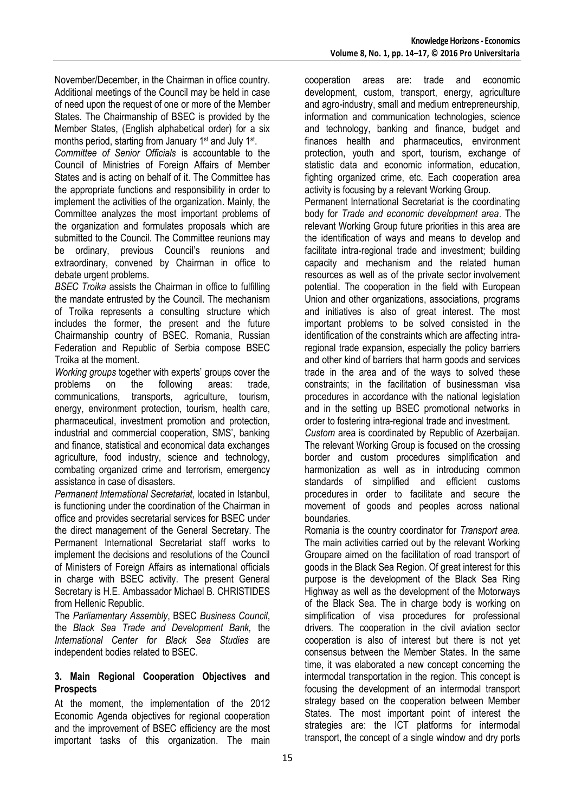November/December, in the Chairman in office country. Additional meetings of the Council may be held in case of need upon the request of one or more of the Member States. The Chairmanship of BSEC is provided by the Member States, (English alphabetical order) for a six months period, starting from January 1<sup>st</sup> and July 1<sup>st</sup>.

*Committee of Senior Officials* is accountable to the Council of Ministries of Foreign Affairs of Member States and is acting on behalf of it. The Committee has the appropriate functions and responsibility in order to implement the activities of the organization. Mainly, the Committee analyzes the most important problems of the organization and formulates proposals which are submitted to the Council. The Committee reunions may be ordinary, previous Council's reunions and extraordinary, convened by Chairman in office to debate urgent problems.

*BSEC Troika* assists the Chairman in office to fulfilling the mandate entrusted by the Council. The mechanism of Troika represents a consulting structure which includes the former, the present and the future Chairmanship country of BSEC. Romania, Russian Federation and Republic of Serbia compose BSEC Troika at the moment.

*Working groups* together with experts' groups cover the problems on the following areas: trade, communications, transports, agriculture, tourism, energy, environment protection, tourism, health care, pharmaceutical, investment promotion and protection, industrial and commercial cooperation, SMS', banking and finance, statistical and economical data exchanges agriculture, food industry, science and technology, combating organized crime and terrorism, emergency assistance in case of disasters.

*Permanent International Secretariat,* located in Istanbul, is functioning under the coordination of the Chairman in office and provides secretarial services for BSEC under the direct management of the General Secretary. The Permanent International Secretariat staff works to implement the decisions and resolutions of the Council of Ministers of Foreign Affairs as international officials in charge with BSEC activity. The present General Secretary is H.E. Ambassador Michael B. CHRISTIDES from Hellenic Republic.

The *Parliamentary Assembly*, BSEC *Business Council*, the *Black Sea Trade and Development Bank,* the *International Center for Black Sea Studies* are independent bodies related to BSEC.

### **3. Main Regional Cooperation Objectives and Prospects**

At the moment, the implementation of the 2012 Economic Agenda objectives for regional cooperation and the improvement of BSEC efficiency are the most important tasks of this organization. The main

cooperation areas are: trade and economic development, custom, transport, energy, agriculture and agro-industry, small and medium entrepreneurship, information and communication technologies, science and technology, banking and finance, budget and finances health and pharmaceutics, environment protection, youth and sport, tourism, exchange of statistic data and economic information, education, fighting organized crime, etc. Each cooperation area activity is focusing by a relevant Working Group.

Permanent International Secretariat is the coordinating body for *Trade and economic development area*. The relevant Working Group future priorities in this area are the identification of ways and means to develop and facilitate intra-regional trade and investment; building capacity and mechanism and the related human resources as well as of the private sector involvement potential. The cooperation in the field with European Union and other organizations, associations, programs and initiatives is also of great interest. The most important problems to be solved consisted in the identification of the constraints which are affecting intraregional trade expansion, especially the policy barriers and other kind of barriers that harm goods and services trade in the area and of the ways to solved these constraints; in the facilitation of businessman visa procedures in accordance with the national legislation and in the setting up BSEC promotional networks in order to fostering intra-regional trade and investment.

*Custom* area is coordinated by Republic of Azerbaijan. The relevant Working Group is focused on the crossing border and custom procedures simplification and harmonization as well as in introducing common standards of simplified and efficient customs procedures in order to facilitate and secure the movement of goods and peoples across national boundaries.

Romania is the country coordinator for *Transport area.* The main activities carried out by the relevant Working Groupare aimed on the facilitation of road transport of goods in the Black Sea Region. Of great interest for this purpose is the development of the Black Sea Ring Highway as well as the development of the Motorways of the Black Sea. The in charge body is working on simplification of visa procedures for professional drivers. The cooperation in the civil aviation sector cooperation is also of interest but there is not yet consensus between the Member States. In the same time, it was elaborated a new concept concerning the intermodal transportation in the region. This concept is focusing the development of an intermodal transport strategy based on the cooperation between Member States. The most important point of interest the strategies are: the ICT platforms for intermodal transport, the concept of a single window and dry ports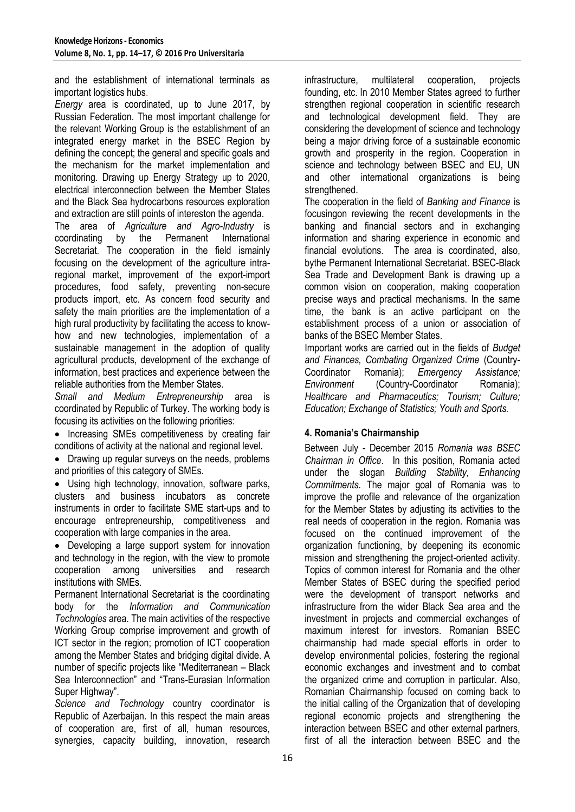and the establishment of international terminals as important logistics hubs.

*Energy* area is coordinated, up to June 2017, by Russian Federation. The most important challenge for the relevant Working Group is the establishment of an integrated energy market in the BSEC Region by defining the concept; the general and specific goals and the mechanism for the market implementation and monitoring. Drawing up Energy Strategy up to 2020, electrical interconnection between the Member States and the Black Sea hydrocarbons resources exploration and extraction are still points of intereston the agenda.

The area of *Agriculture and Agro-Industry* is coordinating by the Permanent International Secretariat. The cooperation in the field ismainly focusing on the development of the agriculture intraregional market, improvement of the export-import procedures, food safety, preventing non-secure products import, etc. As concern food security and safety the main priorities are the implementation of a high rural productivity by facilitating the access to knowhow and new technologies, implementation of a sustainable management in the adoption of quality agricultural products, development of the exchange of information, best practices and experience between the reliable authorities from the Member States.

*Small and Medium Entrepreneurship* area is coordinated by Republic of Turkey. The working body is focusing its activities on the following priorities:

• Increasing SMEs competitiveness by creating fair conditions of activity at the national and regional level.

• Drawing up regular surveys on the needs, problems and priorities of this category of SMEs.

 Using high technology, innovation, software parks, clusters and business incubators as concrete instruments in order to facilitate SME start-ups and to encourage entrepreneurship, competitiveness and cooperation with large companies in the area.

• Developing a large support system for innovation and technology in the region, with the view to promote cooperation among universities and research institutions with SMEs.

Permanent International Secretariat is the coordinating body for the *Information and Communication Technologies* area. The main activities of the respective Working Group comprise improvement and growth of ICT sector in the region; promotion of ICT cooperation among the Member States and bridging digital divide. A number of specific projects like "Mediterranean – Black Sea Interconnection" and "Trans-Eurasian Information Super Highway".

*Science and Technology* country coordinator is Republic of Azerbaijan. In this respect the main areas of cooperation are, first of all, human resources, synergies, capacity building, innovation, research infrastructure, multilateral cooperation, projects founding, etc. In 2010 Member States agreed to further strengthen regional cooperation in scientific research and technological development field. They are considering the development of science and technology being a major driving force of a sustainable economic growth and prosperity in the region. Cooperation in science and technology between BSEC and EU, UN and other international organizations is being strengthened.

The cooperation in the field of *Banking and Finance* is focusingon reviewing the recent developments in the banking and financial sectors and in exchanging information and sharing experience in economic and financial evolutions. The area is coordinated, also, bythe Permanent International Secretariat. BSEC-Black Sea Trade and Development Bank is drawing up a common vision on cooperation, making cooperation precise ways and practical mechanisms. In the same time, the bank is an active participant on the establishment process of a union or association of banks of the BSEC Member States.

Important works are carried out in the fields of *Budget and Finances, Combating Organized Crime* (Country-Coordinator Romania); *Emergency Assistance; Environment* (Country-Coordinator Romania); *Healthcare and Pharmaceutics; Tourism; Culture; Education; Exchange of Statistics; Youth and Sports.*

# **4. Romania's Chairmanship**

Between July - December 2015 *Romania was BSEC Chairman in Office*. In this position, Romania acted under the slogan *Building Stability, Enhancing Commitments.* The major goal of Romania was to improve the profile and relevance of the organization for the Member States by adjusting its activities to the real needs of cooperation in the region. Romania was focused on the continued improvement of the organization functioning, by deepening its economic mission and strengthening the project-oriented activity. Topics of common interest for Romania and the other Member States of BSEC during the specified period were the development of transport networks and infrastructure from the wider Black Sea area and the investment in projects and commercial exchanges of maximum interest for investors*.* Romanian BSEC chairmanship had made special efforts in order to develop environmental policies, fostering the regional economic exchanges and investment and to combat the organized crime and corruption in particular. Also, Romanian Chairmanship focused on coming back to the initial calling of the Organization that of developing regional economic projects and strengthening the interaction between BSEC and other external partners, first of all the interaction between BSEC and the